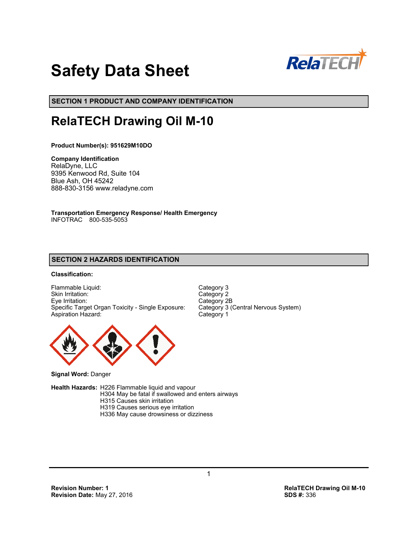

# **Safety Data Sheet**

**SECTION 1 PRODUCT AND COMPANY IDENTIFICATION**

# **RelaTECH Drawing Oil M-10**

**Product Number(s): 951629M10DO**

**Company Identification** RelaDyne, LLC 9395 Kenwood Rd, Suite 104 Blue Ash, OH 45242 888-830-3156 www.reladyne.com

**Transportation Emergency Response/ Health Emergency** INFOTRAC 800-535-5053

# **SECTION 2 HAZARDS IDENTIFICATION**

# **Classification:**

Flammable Liquid: Category 3<br>
Skin Irritation: Category 2 Skin Irritation: Eye Irritation: Category 2B<br>Specific Target Organ Toxicity - Single Exposure: Category 3 (Central Nervous System) Specific Target Organ Toxicity - Single Exposure: Aspiration Hazard: Category 1



**Signal Word:** Danger

**Health Hazards:** H226 Flammable liquid and vapour H304 May be fatal if swallowed and enters airways H315 Causes skin irritation H319 Causes serious eye irritation H336 May cause drowsiness or dizziness

**Revision Number: 1 RelaTECH Drawing Oil M-10 Revision Date: May 27, 2016**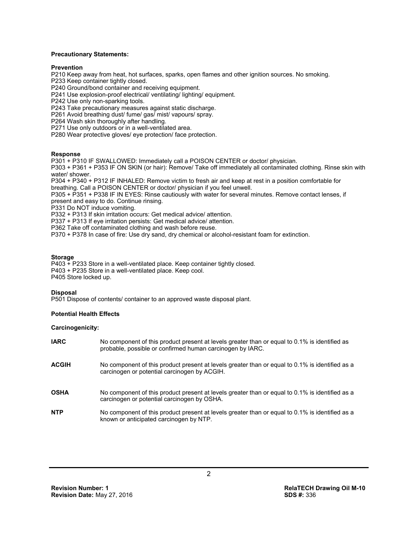#### **Precautionary Statements:**

#### **Prevention**

P210 Keep away from heat, hot surfaces, sparks, open flames and other ignition sources. No smoking.

P233 Keep container tightly closed.

P240 Ground/bond container and receiving equipment.

P241 Use explosion-proof electrical/ ventilating/ lighting/ equipment.

P242 Use only non-sparking tools.

P243 Take precautionary measures against static discharge.

P261 Avoid breathing dust/ fume/ gas/ mist/ vapours/ spray.

P264 Wash skin thoroughly after handling.

P271 Use only outdoors or in a well-ventilated area.

P280 Wear protective gloves/ eye protection/ face protection.

#### **Response**

P301 + P310 IF SWALLOWED: Immediately call a POISON CENTER or doctor/ physician.

P303 + P361 + P353 IF ON SKIN (or hair): Remove/ Take off immediately all contaminated clothing. Rinse skin with water/ shower.

P304 + P340 + P312 IF INHALED: Remove victim to fresh air and keep at rest in a position comfortable for breathing. Call a POISON CENTER or doctor/ physician if you feel unwell.

P305 + P351 + P338 IF IN EYES: Rinse cautiously with water for several minutes. Remove contact lenses, if present and easy to do. Continue rinsing.

P331 Do NOT induce vomiting.

P332 + P313 If skin irritation occurs: Get medical advice/ attention.

P337 + P313 If eye irritation persists: Get medical advice/ attention.

P362 Take off contaminated clothing and wash before reuse.

P370 + P378 In case of fire: Use dry sand, dry chemical or alcohol-resistant foam for extinction.

#### **Storage**

P403 + P233 Store in a well-ventilated place. Keep container tightly closed. P403 + P235 Store in a well-ventilated place. Keep cool. P405 Store locked up.

#### **Disposal**

P501 Dispose of contents/ container to an approved waste disposal plant.

#### **Potential Health Effects**

#### **Carcinogenicity:**

| <b>IARC</b>  | No component of this product present at levels greater than or equal to 0.1% is identified as<br>probable, possible or confirmed human carcinogen by IARC. |
|--------------|------------------------------------------------------------------------------------------------------------------------------------------------------------|
| <b>ACGIH</b> | No component of this product present at levels greater than or equal to 0.1% is identified as a<br>carcinogen or potential carcinogen by ACGIH.            |
| <b>OSHA</b>  | No component of this product present at levels greater than or equal to 0.1% is identified as a<br>carcinogen or potential carcinogen by OSHA.             |
| <b>NTP</b>   | No component of this product present at levels greater than or equal to 0.1% is identified as a<br>known or anticipated carcinogen by NTP.                 |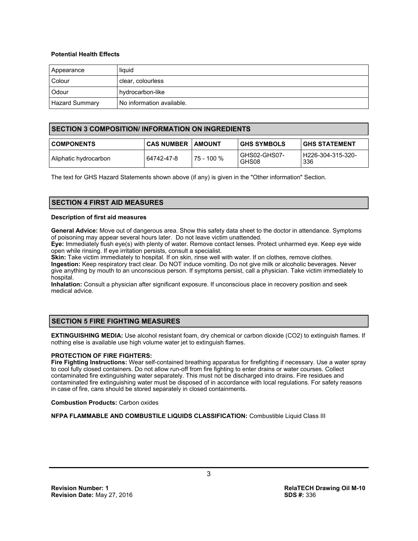#### **Potential Health Effects**

| Appearance            | liquid                    |
|-----------------------|---------------------------|
| Colour                | clear, colourless         |
| Odour                 | hydrocarbon-like          |
| <b>Hazard Summary</b> | No information available. |

# **SECTION 3 COMPOSITION/ INFORMATION ON INGREDIENTS**

| <b>COMPONENTS</b>      | <b>CAS NUMBER   AMOUNT</b> |            | <b>GHS SYMBOLS</b>    | I GHS STATEMENT          |
|------------------------|----------------------------|------------|-----------------------|--------------------------|
| Aliphatic hydrocarbon_ | 64742-47-8                 | 75 - 100 % | GHS02-GHS07-<br>GHS08 | H226-304-315-320-<br>336 |

The text for GHS Hazard Statements shown above (if any) is given in the "Other information" Section.

# **SECTION 4 FIRST AID MEASURES**

#### **Description of first aid measures**

**General Advice:** Move out of dangerous area. Show this safety data sheet to the doctor in attendance. Symptoms of poisoning may appear several hours later. Do not leave victim unattended.

**Eye:** Immediately flush eye(s) with plenty of water. Remove contact lenses. Protect unharmed eye. Keep eye wide open while rinsing. If eye irritation persists, consult a specialist.

**Skin:** Take victim immediately to hospital. If on skin, rinse well with water. If on clothes, remove clothes. **Ingestion:** Keep respiratory tract clear. Do NOT induce vomiting. Do not give milk or alcoholic beverages. Never give anything by mouth to an unconscious person. If symptoms persist, call a physician. Take victim immediately to hospital.

**Inhalation:** Consult a physician after significant exposure. If unconscious place in recovery position and seek medical advice.

# **SECTION 5 FIRE FIGHTING MEASURES**

**EXTINGUISHING MEDIA:** Use alcohol resistant foam, dry chemical or carbon dioxide (CO2) to extinguish flames. If nothing else is available use high volume water jet to extinguish flames.

#### **PROTECTION OF FIRE FIGHTERS:**

**Fire Fighting Instructions:** Wear self-contained breathing apparatus for firefighting if necessary. Use a water spray to cool fully closed containers. Do not allow run-off from fire fighting to enter drains or water courses. Collect contaminated fire extinguishing water separately. This must not be discharged into drains. Fire residues and contaminated fire extinguishing water must be disposed of in accordance with local regulations. For safety reasons in case of fire, cans should be stored separately in closed containments.

**Combustion Products:** Carbon oxides

**NFPA FLAMMABLE AND COMBUSTILE LIQUIDS CLASSIFICATION:** Combustible Liquid Class III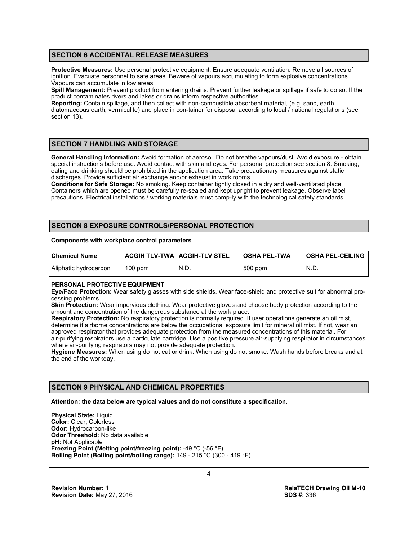# **SECTION 6 ACCIDENTAL RELEASE MEASURES**

**Protective Measures:** Use personal protective equipment. Ensure adequate ventilation. Remove all sources of ignition. Evacuate personnel to safe areas. Beware of vapours accumulating to form explosive concentrations. Vapours can accumulate in low areas.

**Spill Management:** Prevent product from entering drains. Prevent further leakage or spillage if safe to do so. If the product contaminates rivers and lakes or drains inform respective authorities.

**Reporting:** Contain spillage, and then collect with non-combustible absorbent material, (e.g. sand, earth, diatomaceous earth, vermiculite) and place in con-tainer for disposal according to local / national regulations (see section 13).

# **SECTION 7 HANDLING AND STORAGE**

**General Handling Information:** Avoid formation of aerosol. Do not breathe vapours/dust. Avoid exposure - obtain special instructions before use. Avoid contact with skin and eyes. For personal protection see section 8. Smoking, eating and drinking should be prohibited in the application area. Take precautionary measures against static discharges. Provide sufficient air exchange and/or exhaust in work rooms.

**Conditions for Safe Storage:** No smoking. Keep container tightly closed in a dry and well-ventilated place. Containers which are opened must be carefully re-sealed and kept upright to prevent leakage. Observe label precautions. Electrical installations / working materials must comp-ly with the technological safety standards.

# **SECTION 8 EXPOSURE CONTROLS/PERSONAL PROTECTION**

#### **Components with workplace control parameters**

| l Chemical Name       | <b>ACGIH TLV-TWA   ACGIH-TLV STEL</b> |      | OSHA PEL-TWA | <b>OSHA PEL-CEILING</b> |
|-----------------------|---------------------------------------|------|--------------|-------------------------|
| Aliphatic hydrocarbon | $100$ ppm                             | N.D. | 500 ppm      | N.D.                    |

#### **PERSONAL PROTECTIVE EQUIPMENT**

**Eye/Face Protection:** Wear safety glasses with side shields. Wear face-shield and protective suit for abnormal processing problems.

**Skin Protection:** Wear impervious clothing. Wear protective gloves and choose body protection according to the amount and concentration of the dangerous substance at the work place.

**Respiratory Protection:** No respiratory protection is normally required. If user operations generate an oil mist, determine if airborne concentrations are below the occupational exposure limit for mineral oil mist. If not, wear an approved respirator that provides adequate protection from the measured concentrations of this material. For air-purifying respirators use a particulate cartridge. Use a positive pressure air-supplying respirator in circumstances where air-purifying respirators may not provide adequate protection.

**Hygiene Measures:** When using do not eat or drink. When using do not smoke. Wash hands before breaks and at the end of the workday.

# **SECTION 9 PHYSICAL AND CHEMICAL PROPERTIES**

**Attention: the data below are typical values and do not constitute a specification.**

**Physical State:** Liquid **Color:** Clear, Colorless **Odor:** Hydrocarbon-like **Odor Threshold:** No data available **pH:** Not Applicable **Freezing Point (Melting point/freezing point):** -49 °C (-56 °F) **Boiling Point (Boiling point/boiling range):** 149 - 215 °C (300 - 419 °F)

4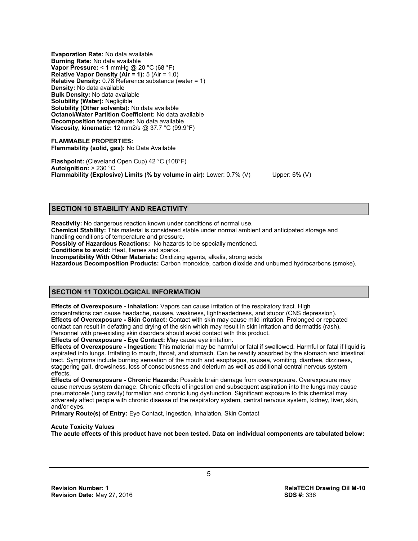**Evaporation Rate:** No data available **Burning Rate:** No data available **Vapor Pressure:** < 1 mmHg @ 20 °C (68 °F) **Relative Vapor Density (Air = 1):** 5 (Air = 1.0) **Relative Density:** 0.78 Reference substance (water = 1) **Density:** No data available **Bulk Density:** No data available **Solubility (Water):** Negligible **Solubility (Other solvents):** No data available **Octanol/Water Partition Coefficient:** No data available **Decomposition temperature:** No data available **Viscosity, kinematic:** 12 mm2/s @ 37.7 °C (99.9°F)

**FLAMMABLE PROPERTIES: Flammability (solid, gas):** No Data Available

**Flashpoint:** (Cleveland Open Cup) 42 °C (108°F) **Autoignition:** > 230 °C **Flammability (Explosive) Limits (% by volume in air):** Lower: 0.7% (V) Upper: 6% (V)

# **SECTION 10 STABILITY AND REACTIVITY**

**Reactivity:** No dangerous reaction known under conditions of normal use.

**Chemical Stability:** This material is considered stable under normal ambient and anticipated storage and handling conditions of temperature and pressure.

**Possibly of Hazardous Reactions:** No hazards to be specially mentioned.

**Conditions to avoid:** Heat, flames and sparks.

**Incompatibility With Other Materials:** Oxidizing agents, alkalis, strong acids

**Hazardous Decomposition Products:** Carbon monoxide, carbon dioxide and unburned hydrocarbons (smoke).

#### **SECTION 11 TOXICOLOGICAL INFORMATION**

**Effects of Overexposure - Inhalation:** Vapors can cause irritation of the respiratory tract. High concentrations can cause headache, nausea, weakness, lightheadedness, and stupor (CNS depression). **Effects of Overexposure - Skin Contact:** Contact with skin may cause mild irritation. Prolonged or repeated contact can result in defatting and drying of the skin which may result in skin irritation and dermatitis (rash). Personnel with pre-existing skin disorders should avoid contact with this product.

**Effects of Overexposure - Eye Contact:** May cause eye irritation.

**Effects of Overexposure - Ingestion:** This material may be harmful or fatal if swallowed. Harmful or fatal if liquid is aspirated into lungs. Irritating to mouth, throat, and stomach. Can be readily absorbed by the stomach and intestinal tract. Symptoms include burning sensation of the mouth and esophagus, nausea, vomiting, diarrhea, dizziness, staggering gait, drowsiness, loss of consciousness and delerium as well as additional central nervous system effects.

**Effects of Overexposure - Chronic Hazards:** Possible brain damage from overexposure. Overexposure may cause nervous system damage. Chronic effects of ingestion and subsequent aspiration into the lungs may cause pneumatocele (lung cavity) formation and chronic lung dysfunction. Significant exposure to this chemical may adversely affect people with chronic disease of the respiratory system, central nervous system, kidney, liver, skin, and/or eyes.

**Primary Route(s) of Entry:** Eye Contact, Ingestion, Inhalation, Skin Contact

#### **Acute Toxicity Values**

**The acute effects of this product have not been tested. Data on individual components are tabulated below:**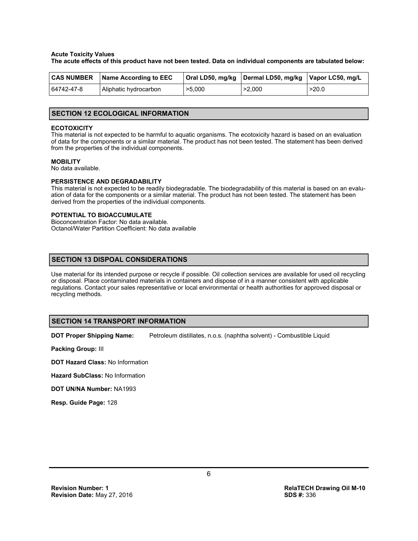#### **Acute Toxicity Values**

**The acute effects of this product have not been tested. Data on individual components are tabulated below:**

| <b>CAS NUMBER</b> | Name According to EEC |        | Oral LD50, mg/kg   Dermal LD50, mg/kg   Vapor LC50, mg/L |       |
|-------------------|-----------------------|--------|----------------------------------------------------------|-------|
| 64742-47-8        | Aliphatic hydrocarbon | >5,000 | >2,000                                                   | >20.0 |

#### **SECTION 12 ECOLOGICAL INFORMATION**

#### **ECOTOXICITY**

This material is not expected to be harmful to aquatic organisms. The ecotoxicity hazard is based on an evaluation of data for the components or a similar material. The product has not been tested. The statement has been derived from the properties of the individual components.

#### **MOBILITY**

No data available.

#### **PERSISTENCE AND DEGRADABILITY**

This material is not expected to be readily biodegradable. The biodegradability of this material is based on an evaluation of data for the components or a similar material. The product has not been tested. The statement has been derived from the properties of the individual components.

#### **POTENTIAL TO BIOACCUMULATE**

Bioconcentration Factor: No data available. Octanol/Water Partition Coefficient: No data available

# **SECTION 13 DISPOAL CONSIDERATIONS**

Use material for its intended purpose or recycle if possible. Oil collection services are available for used oil recycling or disposal. Place contaminated materials in containers and dispose of in a manner consistent with applicable regulations. Contact your sales representative or local environmental or health authorities for approved disposal or recycling methods.

#### **SECTION 14 TRANSPORT INFORMATION**

**DOT Proper Shipping Name:** Petroleum distillates, n.o.s. (naphtha solvent) - Combustible Liquid

**Packing Group:** III

**DOT Hazard Class:** No Information

**Hazard SubClass:** No Information

**DOT UN/NA Number:** NA1993

**Resp. Guide Page:** 128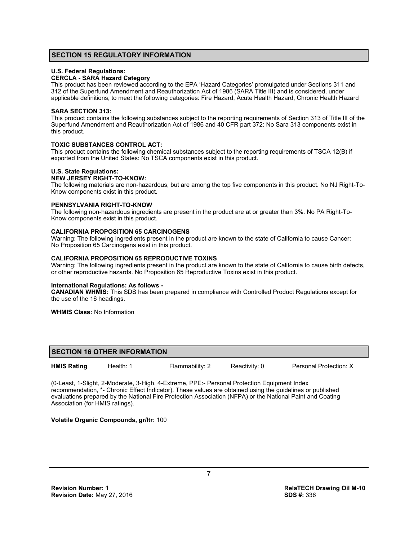## **SECTION 15 REGULATORY INFORMATION**

#### **U.S. Federal Regulations:**

#### **CERCLA - SARA Hazard Category**

This product has been reviewed according to the EPA 'Hazard Categories' promulgated under Sections 311 and 312 of the Superfund Amendment and Reauthorization Act of 1986 (SARA Title III) and is considered, under applicable definitions, to meet the following categories: Fire Hazard, Acute Health Hazard, Chronic Health Hazard

#### **SARA SECTION 313:**

This product contains the following substances subject to the reporting requirements of Section 313 of Title III of the Superfund Amendment and Reauthorization Act of 1986 and 40 CFR part 372: No Sara 313 components exist in this product.

#### **TOXIC SUBSTANCES CONTROL ACT:**

This product contains the following chemical substances subject to the reporting requirements of TSCA 12(B) if exported from the United States: No TSCA components exist in this product.

#### **U.S. State Regulations:**

#### **NEW JERSEY RIGHT-TO-KNOW:**

The following materials are non-hazardous, but are among the top five components in this product. No NJ Right-To-Know components exist in this product.

#### **PENNSYLVANIA RIGHT-TO-KNOW**

The following non-hazardous ingredients are present in the product are at or greater than 3%. No PA Right-To-Know components exist in this product.

#### **CALIFORNIA PROPOSITION 65 CARCINOGENS**

Warning: The following ingredients present in the product are known to the state of California to cause Cancer: No Proposition 65 Carcinogens exist in this product.

#### **CALIFORNIA PROPOSITION 65 REPRODUCTIVE TOXINS**

Warning: The following ingredients present in the product are known to the state of California to cause birth defects, or other reproductive hazards. No Proposition 65 Reproductive Toxins exist in this product.

#### **International Regulations: As follows -**

**CANADIAN WHMIS:** This SDS has been prepared in compliance with Controlled Product Regulations except for the use of the 16 headings.

**WHMIS Class:** No Information

#### **SECTION 16 OTHER INFORMATION**

**HMIS Rating** Health: 1 Flammability: 2 Reactivity: 0 Personal Protection: X

(0-Least, 1-Slight, 2-Moderate, 3-High, 4-Extreme, PPE:- Personal Protection Equipment Index recommendation, \*- Chronic Effect Indicator). These values are obtained using the guidelines or published evaluations prepared by the National Fire Protection Association (NFPA) or the National Paint and Coating Association (for HMIS ratings).

# **Volatile Organic Compounds, gr/ltr:** 100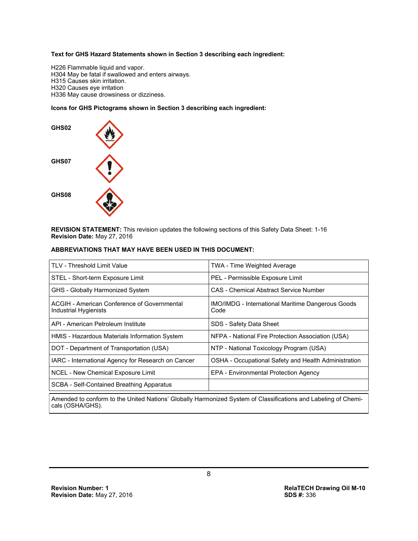#### **Text for GHS Hazard Statements shown in Section 3 describing each ingredient:**

H226 Flammable liquid and vapor. H304 May be fatal if swallowed and enters airways. H315 Causes skin irritation. H320 Causes eye irritation H336 May cause drowsiness or dizziness.

## **Icons for GHS Pictograms shown in Section 3 describing each ingredient:**



**REVISION STATEMENT:** This revision updates the following sections of this Safety Data Sheet: 1-16 **Revision Date:** May 27, 2016

#### **ABBREVIATIONS THAT MAY HAVE BEEN USED IN THIS DOCUMENT:**

| <b>TWA - Time Weighted Average</b>                               |  |  |
|------------------------------------------------------------------|--|--|
| PEL - Permissible Exposure Limit                                 |  |  |
| CAS - Chemical Abstract Service Number                           |  |  |
| <b>IMO/IMDG</b> - International Maritime Dangerous Goods<br>Code |  |  |
| SDS - Safety Data Sheet                                          |  |  |
| NFPA - National Fire Protection Association (USA)                |  |  |
| NTP - National Toxicology Program (USA)                          |  |  |
| OSHA - Occupational Safety and Health Administration             |  |  |
| EPA - Environmental Protection Agency                            |  |  |
|                                                                  |  |  |
|                                                                  |  |  |

Amended to conform to the United Nations' Globally Harmonized System of Classifications and Labeling of Chemicals (OSHA/GHS).